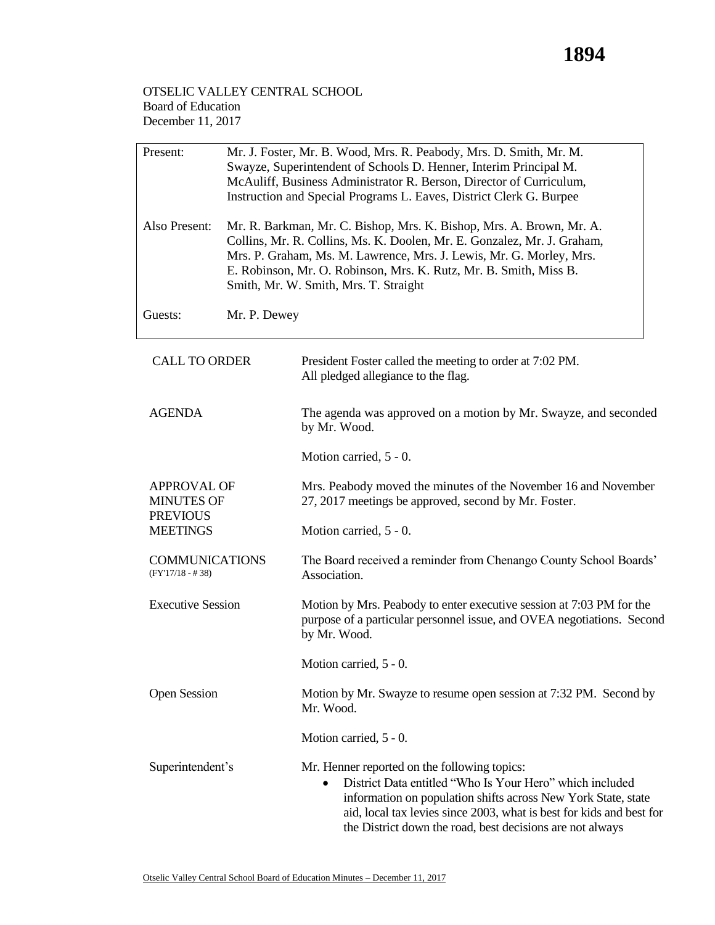## OTSELIC VALLEY CENTRAL SCHOOL Board of Education December 11, 2017

| Present:                                                   | Mr. J. Foster, Mr. B. Wood, Mrs. R. Peabody, Mrs. D. Smith, Mr. M.<br>Swayze, Superintendent of Schools D. Henner, Interim Principal M.<br>McAuliff, Business Administrator R. Berson, Director of Curriculum,<br>Instruction and Special Programs L. Eaves, District Clerk G. Burpee |                                                                                                                                                                                                                                                                                                                                      |  |
|------------------------------------------------------------|---------------------------------------------------------------------------------------------------------------------------------------------------------------------------------------------------------------------------------------------------------------------------------------|--------------------------------------------------------------------------------------------------------------------------------------------------------------------------------------------------------------------------------------------------------------------------------------------------------------------------------------|--|
| Also Present:                                              |                                                                                                                                                                                                                                                                                       | Mr. R. Barkman, Mr. C. Bishop, Mrs. K. Bishop, Mrs. A. Brown, Mr. A.<br>Collins, Mr. R. Collins, Ms. K. Doolen, Mr. E. Gonzalez, Mr. J. Graham,<br>Mrs. P. Graham, Ms. M. Lawrence, Mrs. J. Lewis, Mr. G. Morley, Mrs.<br>E. Robinson, Mr. O. Robinson, Mrs. K. Rutz, Mr. B. Smith, Miss B.<br>Smith, Mr. W. Smith, Mrs. T. Straight |  |
| Guests:                                                    | Mr. P. Dewey                                                                                                                                                                                                                                                                          |                                                                                                                                                                                                                                                                                                                                      |  |
| <b>CALL TO ORDER</b>                                       |                                                                                                                                                                                                                                                                                       | President Foster called the meeting to order at 7:02 PM.<br>All pledged allegiance to the flag.                                                                                                                                                                                                                                      |  |
| <b>AGENDA</b>                                              |                                                                                                                                                                                                                                                                                       | The agenda was approved on a motion by Mr. Swayze, and seconded<br>by Mr. Wood.                                                                                                                                                                                                                                                      |  |
|                                                            |                                                                                                                                                                                                                                                                                       | Motion carried, 5 - 0.                                                                                                                                                                                                                                                                                                               |  |
| <b>APPROVAL OF</b><br><b>MINUTES OF</b><br><b>PREVIOUS</b> |                                                                                                                                                                                                                                                                                       | Mrs. Peabody moved the minutes of the November 16 and November<br>27, 2017 meetings be approved, second by Mr. Foster.                                                                                                                                                                                                               |  |
| <b>MEETINGS</b>                                            |                                                                                                                                                                                                                                                                                       | Motion carried, 5 - 0.                                                                                                                                                                                                                                                                                                               |  |
| <b>COMMUNICATIONS</b><br>$(FY'17/18 - #38)$                |                                                                                                                                                                                                                                                                                       | The Board received a reminder from Chenango County School Boards'<br>Association.                                                                                                                                                                                                                                                    |  |
| <b>Executive Session</b>                                   |                                                                                                                                                                                                                                                                                       | Motion by Mrs. Peabody to enter executive session at 7:03 PM for the<br>purpose of a particular personnel issue, and OVEA negotiations. Second<br>by Mr. Wood.                                                                                                                                                                       |  |
|                                                            |                                                                                                                                                                                                                                                                                       | Motion carried, 5 - 0.                                                                                                                                                                                                                                                                                                               |  |
| <b>Open Session</b>                                        |                                                                                                                                                                                                                                                                                       | Motion by Mr. Swayze to resume open session at 7:32 PM. Second by<br>Mr. Wood.                                                                                                                                                                                                                                                       |  |
|                                                            |                                                                                                                                                                                                                                                                                       | Motion carried, 5 - 0.                                                                                                                                                                                                                                                                                                               |  |
| Superintendent's                                           |                                                                                                                                                                                                                                                                                       | Mr. Henner reported on the following topics:<br>District Data entitled "Who Is Your Hero" which included<br>information on population shifts across New York State, state<br>aid, local tax levies since 2003, what is best for kids and best for<br>the District down the road, best decisions are not always                       |  |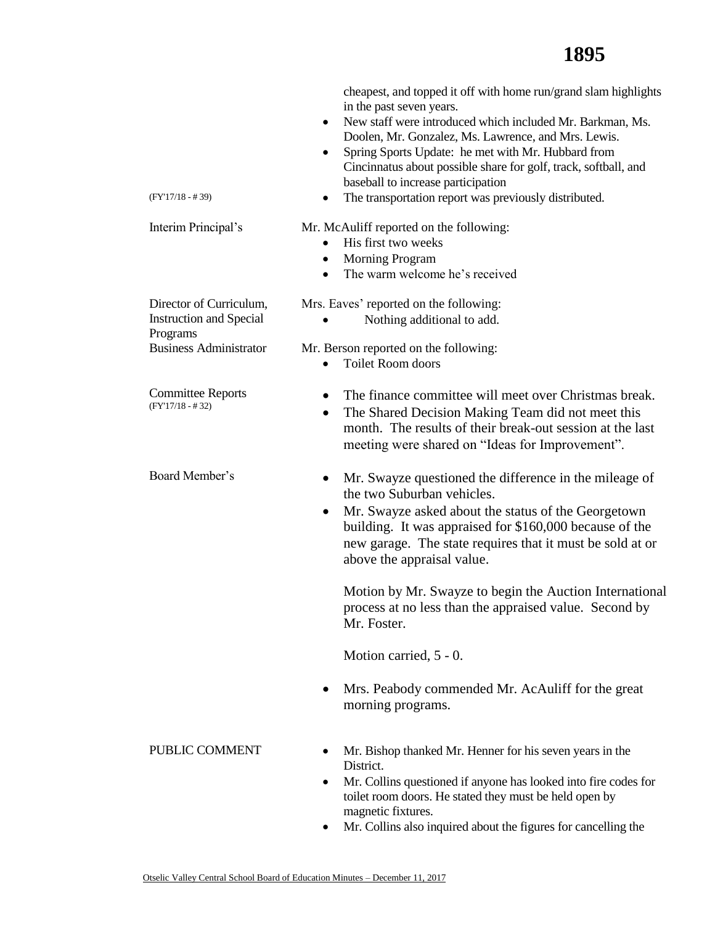| $(FY'17/18 - #39)$                                                                                     | cheapest, and topped it off with home run/grand slam highlights<br>in the past seven years.<br>New staff were introduced which included Mr. Barkman, Ms.<br>٠<br>Doolen, Mr. Gonzalez, Ms. Lawrence, and Mrs. Lewis.<br>Spring Sports Update: he met with Mr. Hubbard from<br>$\bullet$<br>Cincinnatus about possible share for golf, track, softball, and<br>baseball to increase participation<br>The transportation report was previously distributed. |
|--------------------------------------------------------------------------------------------------------|-----------------------------------------------------------------------------------------------------------------------------------------------------------------------------------------------------------------------------------------------------------------------------------------------------------------------------------------------------------------------------------------------------------------------------------------------------------|
| Interim Principal's                                                                                    | Mr. McAuliff reported on the following:<br>His first two weeks<br>$\bullet$<br><b>Morning Program</b><br>٠<br>The warm welcome he's received<br>$\bullet$                                                                                                                                                                                                                                                                                                 |
| Director of Curriculum,<br><b>Instruction and Special</b><br>Programs<br><b>Business Administrator</b> | Mrs. Eaves' reported on the following:<br>Nothing additional to add.<br>Mr. Berson reported on the following:<br>Toilet Room doors<br>$\bullet$                                                                                                                                                                                                                                                                                                           |
| <b>Committee Reports</b><br>$(FY'17/18 - #32)$                                                         | The finance committee will meet over Christmas break.<br>The Shared Decision Making Team did not meet this<br>$\bullet$<br>month. The results of their break-out session at the last<br>meeting were shared on "Ideas for Improvement".                                                                                                                                                                                                                   |
| Board Member's                                                                                         | Mr. Swayze questioned the difference in the mileage of<br>$\bullet$<br>the two Suburban vehicles.<br>Mr. Swayze asked about the status of the Georgetown<br>building. It was appraised for \$160,000 because of the<br>new garage. The state requires that it must be sold at or<br>above the appraisal value.                                                                                                                                            |
|                                                                                                        | Motion by Mr. Swayze to begin the Auction International<br>process at no less than the appraised value. Second by<br>Mr. Foster.                                                                                                                                                                                                                                                                                                                          |
|                                                                                                        | Motion carried, 5 - 0.                                                                                                                                                                                                                                                                                                                                                                                                                                    |
|                                                                                                        | Mrs. Peabody commended Mr. AcAuliff for the great<br>٠<br>morning programs.                                                                                                                                                                                                                                                                                                                                                                               |
| PUBLIC COMMENT                                                                                         | Mr. Bishop thanked Mr. Henner for his seven years in the<br>District.<br>Mr. Collins questioned if anyone has looked into fire codes for<br>$\bullet$<br>toilet room doors. He stated they must be held open by<br>magnetic fixtures.<br>Mr. Collins also inquired about the figures for cancelling the<br>٠                                                                                                                                              |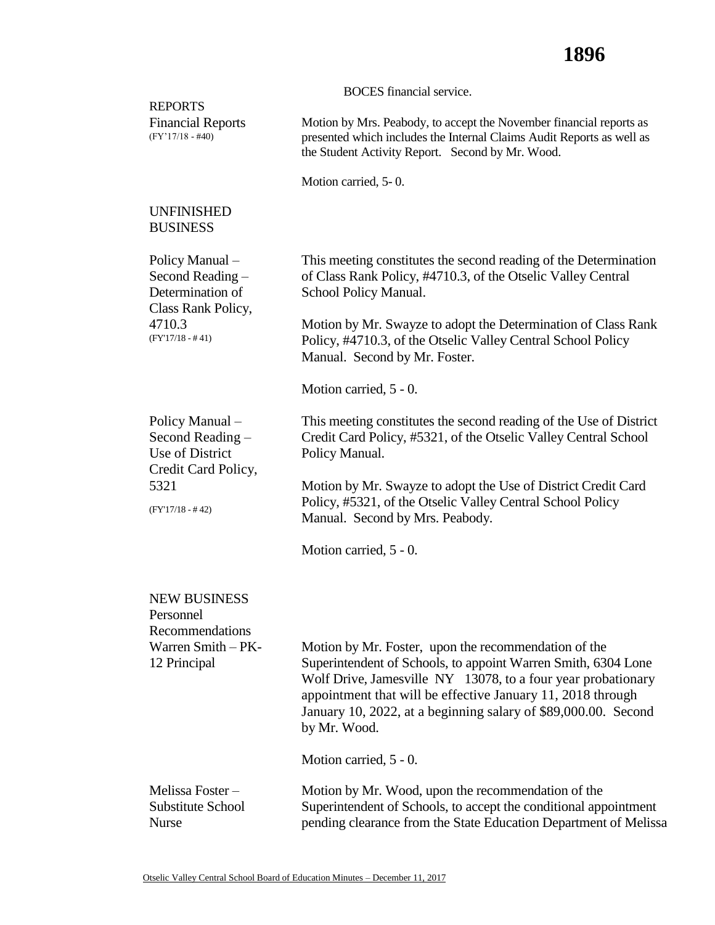|                                                                                           | <b>BOCES</b> financial service.                                                                                                                                                                                                                                                                                                                                  |
|-------------------------------------------------------------------------------------------|------------------------------------------------------------------------------------------------------------------------------------------------------------------------------------------------------------------------------------------------------------------------------------------------------------------------------------------------------------------|
| <b>REPORTS</b><br><b>Financial Reports</b><br>$(FY'17/18 - #40)$                          | Motion by Mrs. Peabody, to accept the November financial reports as<br>presented which includes the Internal Claims Audit Reports as well as<br>the Student Activity Report. Second by Mr. Wood.                                                                                                                                                                 |
|                                                                                           | Motion carried, 5-0.                                                                                                                                                                                                                                                                                                                                             |
| <b>UNFINISHED</b><br><b>BUSINESS</b>                                                      |                                                                                                                                                                                                                                                                                                                                                                  |
| Policy Manual -<br>Second Reading -<br>Determination of                                   | This meeting constitutes the second reading of the Determination<br>of Class Rank Policy, #4710.3, of the Otselic Valley Central<br>School Policy Manual.                                                                                                                                                                                                        |
| Class Rank Policy,<br>4710.3<br>$(FY'17/18 - #41)$                                        | Motion by Mr. Swayze to adopt the Determination of Class Rank<br>Policy, #4710.3, of the Otselic Valley Central School Policy<br>Manual. Second by Mr. Foster.                                                                                                                                                                                                   |
|                                                                                           | Motion carried, 5 - 0.                                                                                                                                                                                                                                                                                                                                           |
| Policy Manual -<br>Second Reading -<br>Use of District<br>Credit Card Policy,             | This meeting constitutes the second reading of the Use of District<br>Credit Card Policy, #5321, of the Otselic Valley Central School<br>Policy Manual.                                                                                                                                                                                                          |
| 5321<br>$(FY'17/18 - #42)$                                                                | Motion by Mr. Swayze to adopt the Use of District Credit Card<br>Policy, #5321, of the Otselic Valley Central School Policy<br>Manual. Second by Mrs. Peabody.                                                                                                                                                                                                   |
|                                                                                           | Motion carried, 5 - 0.                                                                                                                                                                                                                                                                                                                                           |
| <b>NEW BUSINESS</b><br>Personnel<br>Recommendations<br>Warren Smith - PK-<br>12 Principal | Motion by Mr. Foster, upon the recommendation of the<br>Superintendent of Schools, to appoint Warren Smith, 6304 Lone<br>Wolf Drive, Jamesville NY 13078, to a four year probationary<br>appointment that will be effective January 11, 2018 through<br>January 10, 2022, at a beginning salary of \$89,000.00. Second<br>by Mr. Wood.<br>Motion carried, 5 - 0. |
| Melissa Foster-<br>Substitute School<br><b>Nurse</b>                                      | Motion by Mr. Wood, upon the recommendation of the<br>Superintendent of Schools, to accept the conditional appointment<br>pending clearance from the State Education Department of Melissa                                                                                                                                                                       |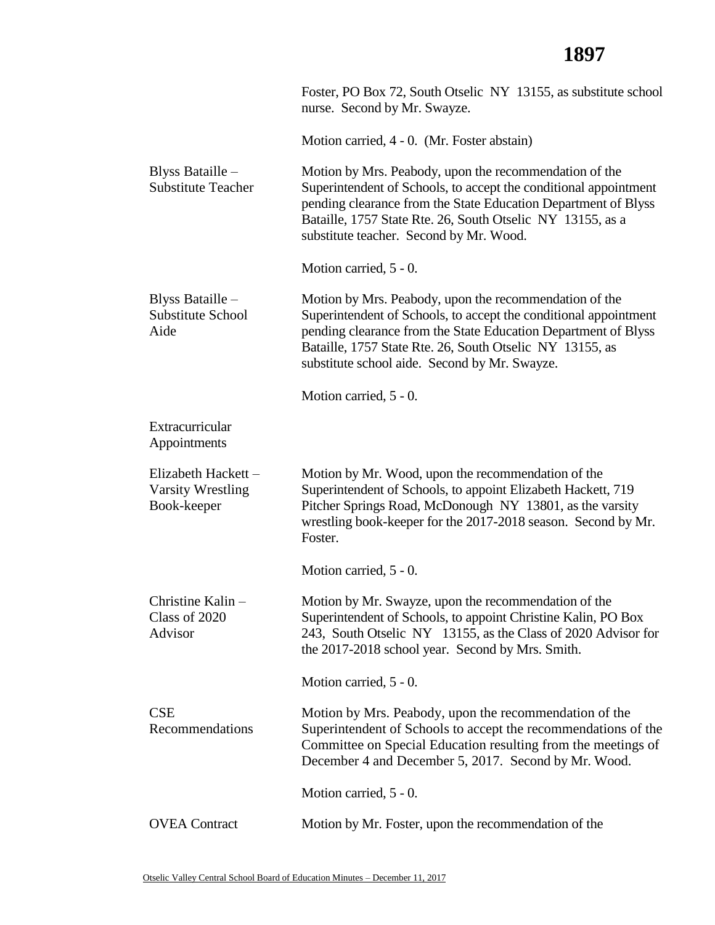## **1897**

|                                                                | Foster, PO Box 72, South Otselic NY 13155, as substitute school<br>nurse. Second by Mr. Swayze.                                                                                                                                                                                                           |
|----------------------------------------------------------------|-----------------------------------------------------------------------------------------------------------------------------------------------------------------------------------------------------------------------------------------------------------------------------------------------------------|
|                                                                | Motion carried, 4 - 0. (Mr. Foster abstain)                                                                                                                                                                                                                                                               |
| Blyss Bataille -<br><b>Substitute Teacher</b>                  | Motion by Mrs. Peabody, upon the recommendation of the<br>Superintendent of Schools, to accept the conditional appointment<br>pending clearance from the State Education Department of Blyss<br>Bataille, 1757 State Rte. 26, South Otselic NY 13155, as a<br>substitute teacher. Second by Mr. Wood.     |
|                                                                | Motion carried, 5 - 0.                                                                                                                                                                                                                                                                                    |
| Blyss Bataille -<br>Substitute School<br>Aide                  | Motion by Mrs. Peabody, upon the recommendation of the<br>Superintendent of Schools, to accept the conditional appointment<br>pending clearance from the State Education Department of Blyss<br>Bataille, 1757 State Rte. 26, South Otselic NY 13155, as<br>substitute school aide. Second by Mr. Swayze. |
|                                                                | Motion carried, 5 - 0.                                                                                                                                                                                                                                                                                    |
| Extracurricular<br>Appointments                                |                                                                                                                                                                                                                                                                                                           |
| Elizabeth Hackett -<br><b>Varsity Wrestling</b><br>Book-keeper | Motion by Mr. Wood, upon the recommendation of the<br>Superintendent of Schools, to appoint Elizabeth Hackett, 719<br>Pitcher Springs Road, McDonough NY 13801, as the varsity<br>wrestling book-keeper for the 2017-2018 season. Second by Mr.<br>Foster.                                                |
|                                                                | Motion carried, 5 - 0.                                                                                                                                                                                                                                                                                    |
| Christine Kalin -<br>Class of 2020<br>Advisor                  | Motion by Mr. Swayze, upon the recommendation of the<br>Superintendent of Schools, to appoint Christine Kalin, PO Box<br>243, South Otselic NY 13155, as the Class of 2020 Advisor for<br>the 2017-2018 school year. Second by Mrs. Smith.                                                                |
|                                                                | Motion carried, 5 - 0.                                                                                                                                                                                                                                                                                    |
| <b>CSE</b><br>Recommendations                                  | Motion by Mrs. Peabody, upon the recommendation of the<br>Superintendent of Schools to accept the recommendations of the<br>Committee on Special Education resulting from the meetings of<br>December 4 and December 5, 2017. Second by Mr. Wood.                                                         |
|                                                                | Motion carried, 5 - 0.                                                                                                                                                                                                                                                                                    |
| <b>OVEA</b> Contract                                           | Motion by Mr. Foster, upon the recommendation of the                                                                                                                                                                                                                                                      |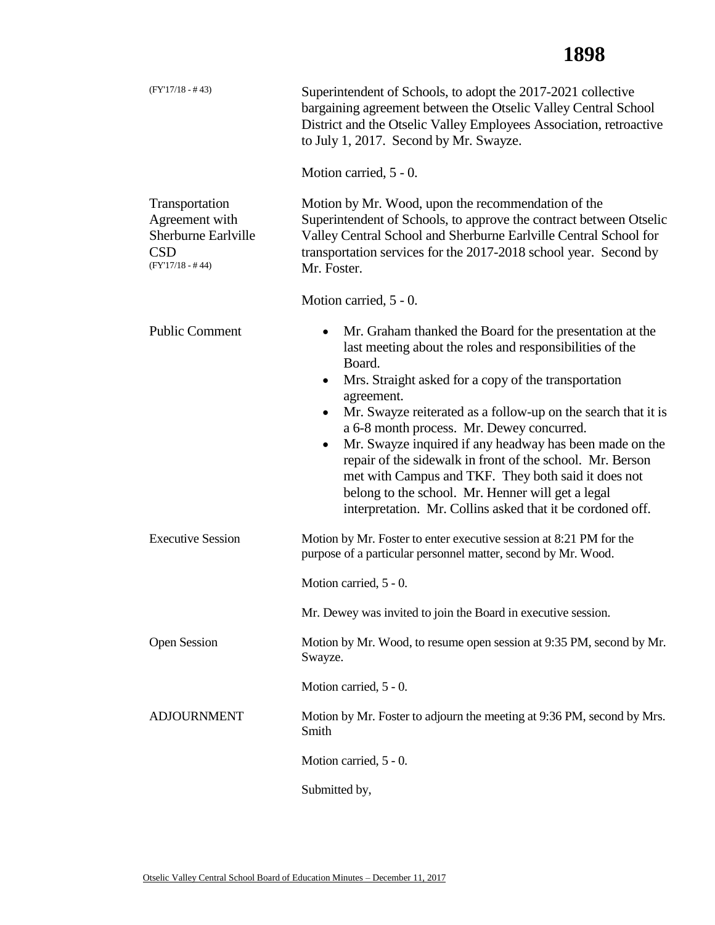## **1898**

| $(FY'17/18 - #43)$                                                                                 | Superintendent of Schools, to adopt the 2017-2021 collective<br>bargaining agreement between the Otselic Valley Central School<br>District and the Otselic Valley Employees Association, retroactive<br>to July 1, 2017. Second by Mr. Swayze.                                                                                                                                                                                                                                         |
|----------------------------------------------------------------------------------------------------|----------------------------------------------------------------------------------------------------------------------------------------------------------------------------------------------------------------------------------------------------------------------------------------------------------------------------------------------------------------------------------------------------------------------------------------------------------------------------------------|
|                                                                                                    | Motion carried, 5 - 0.                                                                                                                                                                                                                                                                                                                                                                                                                                                                 |
| Transportation<br>Agreement with<br><b>Sherburne Earlyille</b><br><b>CSD</b><br>$(FY'17/18 - #44)$ | Motion by Mr. Wood, upon the recommendation of the<br>Superintendent of Schools, to approve the contract between Otselic<br>Valley Central School and Sherburne Earlville Central School for<br>transportation services for the 2017-2018 school year. Second by<br>Mr. Foster.                                                                                                                                                                                                        |
|                                                                                                    | Motion carried, 5 - 0.                                                                                                                                                                                                                                                                                                                                                                                                                                                                 |
| <b>Public Comment</b>                                                                              | Mr. Graham thanked the Board for the presentation at the<br>$\bullet$<br>last meeting about the roles and responsibilities of the<br>Board.<br>Mrs. Straight asked for a copy of the transportation<br>٠<br>agreement.<br>Mr. Swayze reiterated as a follow-up on the search that it is<br>$\bullet$<br>a 6-8 month process. Mr. Dewey concurred.<br>Mr. Swayze inquired if any headway has been made on the<br>$\bullet$<br>repair of the sidewalk in front of the school. Mr. Berson |
|                                                                                                    | met with Campus and TKF. They both said it does not<br>belong to the school. Mr. Henner will get a legal<br>interpretation. Mr. Collins asked that it be cordoned off.                                                                                                                                                                                                                                                                                                                 |
| <b>Executive Session</b>                                                                           | Motion by Mr. Foster to enter executive session at 8:21 PM for the<br>purpose of a particular personnel matter, second by Mr. Wood.                                                                                                                                                                                                                                                                                                                                                    |
|                                                                                                    | Motion carried, 5 - 0.                                                                                                                                                                                                                                                                                                                                                                                                                                                                 |
|                                                                                                    | Mr. Dewey was invited to join the Board in executive session.                                                                                                                                                                                                                                                                                                                                                                                                                          |
| <b>Open Session</b>                                                                                | Motion by Mr. Wood, to resume open session at 9:35 PM, second by Mr.<br>Swayze.                                                                                                                                                                                                                                                                                                                                                                                                        |
|                                                                                                    | Motion carried, 5 - 0.                                                                                                                                                                                                                                                                                                                                                                                                                                                                 |
| <b>ADJOURNMENT</b>                                                                                 | Motion by Mr. Foster to adjourn the meeting at 9:36 PM, second by Mrs.<br>Smith                                                                                                                                                                                                                                                                                                                                                                                                        |
|                                                                                                    | Motion carried, 5 - 0.                                                                                                                                                                                                                                                                                                                                                                                                                                                                 |
|                                                                                                    | Submitted by,                                                                                                                                                                                                                                                                                                                                                                                                                                                                          |